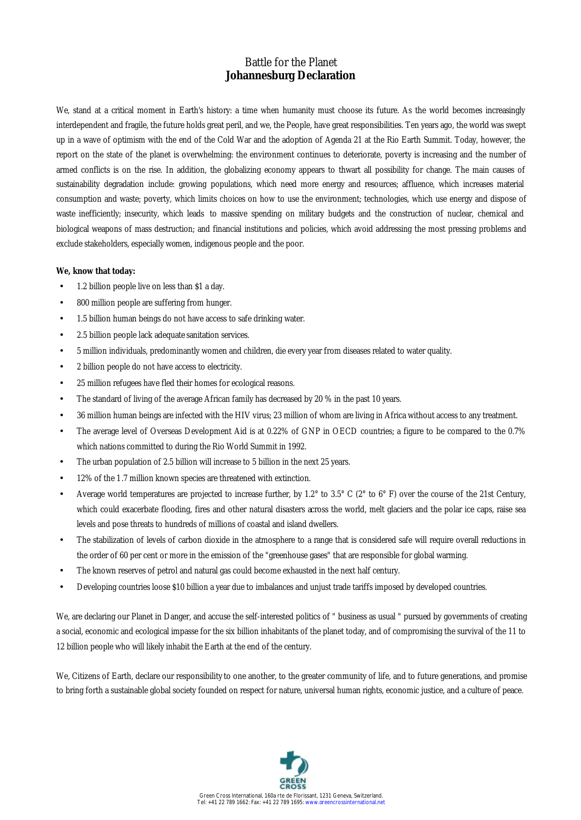# Battle for the Planet **Johannesburg Declaration**

We, stand at a critical moment in Earth's history: a time when humanity must choose its future. As the world becomes increasingly interdependent and fragile, the future holds great peril, and we, the People, have great responsibilities. Ten years ago, the world was swept up in a wave of optimism with the end of the Cold War and the adoption of Agenda 21 at the Rio Earth Summit. Today, however, the report on the state of the planet is overwhelming: the environment continues to deteriorate, poverty is increasing and the number of armed conflicts is on the rise. In addition, the globalizing economy appears to thwart all possibility for change. The main causes of sustainability degradation include: growing populations, which need more energy and resources; affluence, which increases material consumption and waste; poverty, which limits choices on how to use the environment; technologies, which use energy and dispose of waste inefficiently; insecurity, which leads to massive spending on military budgets and the construction of nuclear, chemical and biological weapons of mass destruction; and financial institutions and policies, which avoid addressing the most pressing problems and exclude stakeholders, especially women, indigenous people and the poor.

### **We, know that today:**

- 1.2 billion people live on less than \$1 a day.
- 800 million people are suffering from hunger.
- 1.5 billion human beings do not have access to safe drinking water.
- 2.5 billion people lack adequate sanitation services.
- 5 million individuals, predominantly women and children, die every year from diseases related to water quality.
- 2 billion people do not have access to electricity.
- 25 million refugees have fled their homes for ecological reasons.
- The standard of living of the average African family has decreased by 20 % in the past 10 years.
- 36 million human beings are infected with the HIV virus; 23 million of whom are living in Africa without access to any treatment.
- The average level of Overseas Development Aid is at 0.22% of GNP in OECD countries; a figure to be compared to the 0.7% which nations committed to during the Rio World Summit in 1992.
- The urban population of 2.5 billion will increase to 5 billion in the next 25 years.
- 12% of the 1.7 million known species are threatened with extinction.
- Average world temperatures are projected to increase further, by 1.2° to 3.5° C (2° to 6° F) over the course of the 21st Century, which could exacerbate flooding, fires and other natural disasters across the world, melt glaciers and the polar ice caps, raise sea levels and pose threats to hundreds of millions of coastal and island dwellers.
- The stabilization of levels of carbon dioxide in the atmosphere to a range that is considered safe will require overall reductions in the order of 60 per cent or more in the emission of the "greenhouse gases" that are responsible for global warming.
- The known reserves of petrol and natural gas could become exhausted in the next half century.
- Developing countries loose \$10 billion a year due to imbalances and unjust trade tariffs imposed by developed countries.

We, are declaring our Planet in Danger, and accuse the self-interested politics of " business as usual " pursued by governments of creating a social, economic and ecological impasse for the six billion inhabitants of the planet today, and of compromising the survival of the 11 to 12 billion people who will likely inhabit the Earth at the end of the century.

We, Citizens of Earth, declare our responsibility to one another, to the greater community of life, and to future generations, and promise to bring forth a sustainable global society founded on respect for nature, universal human rights, economic justice, and a culture of peace.